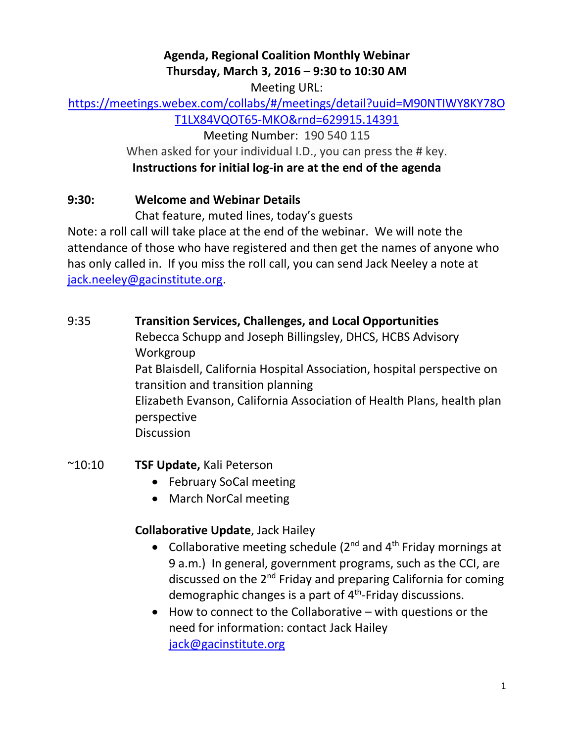# **Agenda, Regional Coalition Monthly Webinar Thursday, March 3, 2016 – 9:30 to 10:30 AM**

Meeting URL:

# [https://meetings.webex.com/collabs/#/meetings/detail?uuid=M90NTIWY8KY78O](https://meetings.webex.com/collabs/#/meetings/detail?uuid=M90NTIWY8KY78OT1LX84VQOT65-MKO&rnd=629915.14391)

[T1LX84VQOT65-MKO&rnd=629915.14391](https://meetings.webex.com/collabs/#/meetings/detail?uuid=M90NTIWY8KY78OT1LX84VQOT65-MKO&rnd=629915.14391)

Meeting Number: 190 540 115

When asked for your individual I.D., you can press the # key.

#### **Instructions for initial log-in are at the end of the agenda**

#### **9:30: Welcome and Webinar Details**

Chat feature, muted lines, today's guests

Note: a roll call will take place at the end of the webinar. We will note the attendance of those who have registered and then get the names of anyone who has only called in. If you miss the roll call, you can send Jack Neeley a note at [jack.neeley@gacinstitute.org.](mailto:jack.neeley@gacinstitute.org)

#### 9:35 **Transition Services, Challenges, and Local Opportunities**

Rebecca Schupp and Joseph Billingsley, DHCS, HCBS Advisory Workgroup Pat Blaisdell, California Hospital Association, hospital perspective on transition and transition planning Elizabeth Evanson, California Association of Health Plans, health plan perspective **Discussion** 

# ~10:10 **TSF Update,** Kali Peterson

- February SoCal meeting
- March NorCal meeting

# **Collaborative Update**, Jack Hailey

- Collaborative meeting schedule ( $2^{nd}$  and  $4^{th}$  Friday mornings at 9 a.m.) In general, government programs, such as the CCI, are discussed on the  $2^{nd}$  Friday and preparing California for coming demographic changes is a part of 4<sup>th</sup>-Friday discussions.
- How to connect to the Collaborative with questions or the need for information: contact Jack Hailey [jack@gacinstitute.org](mailto:jack@gacinstitute.org)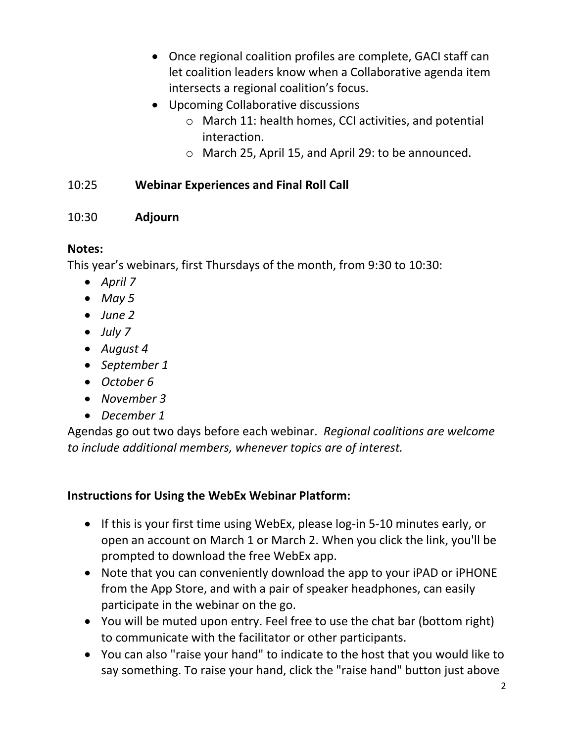- Once regional coalition profiles are complete, GACI staff can let coalition leaders know when a Collaborative agenda item intersects a regional coalition's focus.
- Upcoming Collaborative discussions
	- o March 11: health homes, CCI activities, and potential interaction.
	- o March 25, April 15, and April 29: to be announced.

#### 10:25 **Webinar Experiences and Final Roll Call**

#### 10:30 **Adjourn**

# **Notes:**

This year's webinars, first Thursdays of the month, from 9:30 to 10:30:

- *April 7*
- *May 5*
- *June 2*
- *July 7*
- *August 4*
- *September 1*
- *October 6*
- *November 3*
- *December 1*

Agendas go out two days before each webinar. *Regional coalitions are welcome to include additional members, whenever topics are of interest.*

#### **Instructions for Using the WebEx Webinar Platform:**

- If this is your first time using WebEx, please log-in 5-10 minutes early, or open an account on March 1 or March 2. When you click the link, you'll be prompted to download the free WebEx app.
- Note that you can conveniently download the app to your iPAD or iPHONE from the App Store, and with a pair of speaker headphones, can easily participate in the webinar on the go.
- You will be muted upon entry. Feel free to use the chat bar (bottom right) to communicate with the facilitator or other participants.
- You can also "raise your hand" to indicate to the host that you would like to say something. To raise your hand, click the "raise hand" button just above